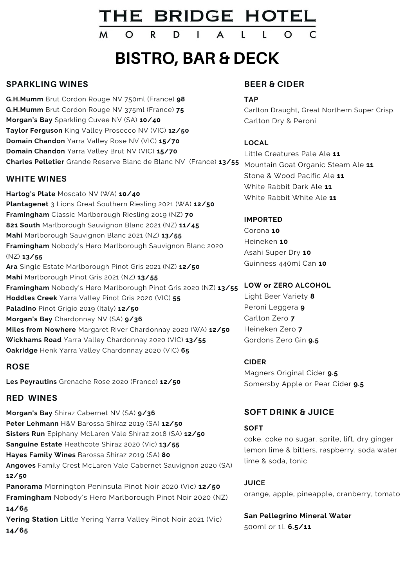# THE BRIDGE HOTEL

A

## **BISTRO, BAR & DECK**

#### **SPARKLING WINES**

**G.H.Mumm** Brut Cordon Rouge NV 750ml (France) **98 G.H.Mumm** Brut Cordon Rouge NV 375ml (France) **75 Morgan's Bay** Sparkling Cuvee NV (SA) **10/40 Taylor Ferguson** King Valley Prosecco NV (VIC) **12/50 Domain Chandon** Yarra Valley Rose NV (VIC) **15/70 Domain Chandon** Yarra Valley Brut NV (VIC) **15/70 Charles Pelletier** Grande Reserve Blanc de Blanc NV (France) **13/55**

 $\circ$ 

R

D

#### **WHITE WINES**

**Hartog's Plate** Moscato NV (WA) **10/40 Plantagenet** 3 Lions Great Southern Riesling 2021 (WA) **12/50 Framingham** Classic Marlborough Riesling 2019 (NZ) **70 821 South** Marlborough Sauvignon Blanc 2021 (NZ) **11/45 Mahi** Marlborough Sauvignon Blanc 2021 (NZ) **13/55 Framingham** Nobody's Hero Marlborough Sauvignon Blanc 2020 (NZ) **13/55 Ara** Single Estate Marlborough Pinot Gris 2021 (NZ) **12/50 Mahi** Marlborough Pinot Gris 2021 (NZ) **13/55 Framingham** Nobody's Hero Marlborough Pinot Gris 2020 (NZ) **13/55 Hoddles Creek** Yarra Valley Pinot Gris 2020 (VIC) **55 Paladino** Pinot Grigio 2019 (Italy) **12/50 Morgan's Bay** Chardonnay NV (SA) **9/36 Miles from Nowhere** Margaret River Chardonnay 2020 (WA) **12/50 Wickhams Road** Yarra Valley Chardonnay 2020 (VIC) **13/55 Oakridge** Henk Yarra Valley Chardonnay 2020 (VIC) **65**

#### **ROSE**

**Les Peyrautins** Grenache Rose 2020 (France) **12/50**

#### **RED WINES**

**Morgan's Bay** Shiraz Cabernet NV (SA) **9/36 Peter Lehmann** H&V Barossa Shiraz 2019 (SA) **12/50 Sisters Run** Epiphany McLaren Vale Shiraz 2018 (SA) **12/50 Sanguine Estate** Heathcote Shiraz 2020 (Vic) **13/55 Hayes Family Wines** Barossa Shiraz 2019 (SA) **80 Angoves** Family Crest McLaren Vale Cabernet Sauvignon 2020 (SA) **12/50 Panorama** Mornington Peninsula Pinot Noir 2020 (Vic) **12/50 Framingham** Nobody's Hero Marlborough Pinot Noir 2020 (NZ) **14/65 Yering Station** Little Yering Yarra Valley Pinot Noir 2021 (Vic) **14/65**

#### **BEER & CIDER**

#### **TAP**

Carlton Draught, Great Northern Super Crisp, Carlton Dry & Peroni

#### **LOCAL**

Little Creatures Pale Ale **11** Mountain Goat Organic Steam Ale **11** Stone & Wood Pacific Ale **11** White Rabbit Dark Ale **11** White Rabbit White Ale **11**

#### **IMPORTED**

Corona **10** Heineken **10** Asahi Super Dry **10** Guinness 440ml Can **10**

#### **LOW or ZERO ALCOHOL**

Light Beer Variety **8** Peroni Leggera **9** Carlton Zero **7** Heineken Zero **7** Gordons Zero Gin **9.5**

#### **CIDER**

Magners Original Cider **9.5** Somersby Apple or Pear Cider **9.5**

#### **SOFT DRINK & JUICE**

#### **SOFT**

coke, coke no sugar, sprite, lift, dry ginger lemon lime & bitters, raspberry, soda water lime & soda, tonic

#### **JUICE**

orange, apple, pineapple, cranberry, tomato

**San Pellegrino Mineral Water** 500ml or 1L **6.5/11**